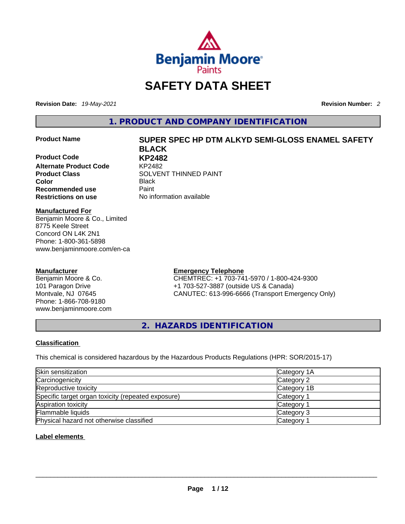

# **SAFETY DATA SHEET**

**Revision Date:** *19-May-2021* **Revision Number:** *2*

**1. PRODUCT AND COMPANY IDENTIFICATION** 

**Product Code KP2482 Alternate Product Code** KP2482 **Color** Black **Recommended use** Paint<br> **Restrictions on use** No inf

# **Product Name SUPER SPEC HP DTM ALKYD SEMI-GLOSS ENAMEL SAFETY BLACK**

**Product Class SOLVENT THINNED PAINT No information available** 

#### **Manufactured For**

Benjamin Moore & Co., Limited 8775 Keele Street Concord ON L4K 2N1 Phone: 1-800-361-5898 www.benjaminmoore.com/en-ca

# **Manufacturer**

Benjamin Moore & Co. 101 Paragon Drive Montvale, NJ 07645 Phone: 1-866-708-9180 www.benjaminmoore.com

# **Emergency Telephone**

CHEMTREC: +1 703-741-5970 / 1-800-424-9300 +1 703-527-3887 (outside US & Canada) CANUTEC: 613-996-6666 (Transport Emergency Only)

**2. HAZARDS IDENTIFICATION** 

# **Classification**

This chemical is considered hazardous by the Hazardous Products Regulations (HPR: SOR/2015-17)

| Skin sensitization                                 | Category 1A           |
|----------------------------------------------------|-----------------------|
| Carcinogenicity                                    | Category 2            |
| Reproductive toxicity                              | Category 1B           |
| Specific target organ toxicity (repeated exposure) | Category 1            |
| Aspiration toxicity                                | Category 1            |
| Flammable liquids                                  | Category 3            |
| Physical hazard not otherwise classified           | Category <sup>2</sup> |

# **Label elements**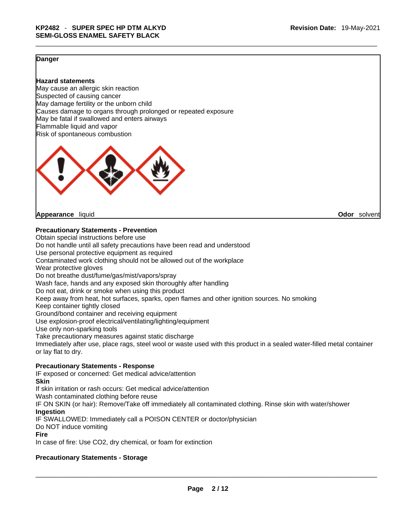#### **Danger**

#### **Hazard statements**

May cause an allergic skin reaction Suspected of causing cancer May damage fertility or the unborn child Causes damage to organs through prolonged or repeated exposure May be fatal if swallowed and enters airways Flammable liquid and vapor Risk of spontaneous combustion



**Appearance** liquid **Odor** solvent

# **Precautionary Statements - Prevention**

Obtain special instructions before use Do not handle until all safety precautions have been read and understood Use personal protective equipment as required Contaminated work clothing should not be allowed out of the workplace Wear protective gloves Do not breathe dust/fume/gas/mist/vapors/spray Wash face, hands and any exposed skin thoroughly after handling Do not eat, drink or smoke when using this product Keep away from heat, hot surfaces, sparks, open flames and other ignition sources. No smoking Keep container tightly closed Ground/bond container and receiving equipment Use explosion-proof electrical/ventilating/lighting/equipment Use only non-sparking tools Take precautionary measures against static discharge Immediately after use, place rags, steel wool or waste used with this product in a sealed water-filled metal container or lay flat to dry. **Precautionary Statements - Response** IF exposed or concerned: Get medical advice/attention

**Skin**

If skin irritation or rash occurs: Get medical advice/attention

Wash contaminated clothing before reuse

IF ON SKIN (or hair): Remove/Take off immediately all contaminated clothing. Rinse skin with water/shower **Ingestion**

IF SWALLOWED: Immediately call a POISON CENTER or doctor/physician

Do NOT induce vomiting

#### **Fire**

In case of fire: Use CO2, dry chemical, or foam for extinction

# **Precautionary Statements - Storage**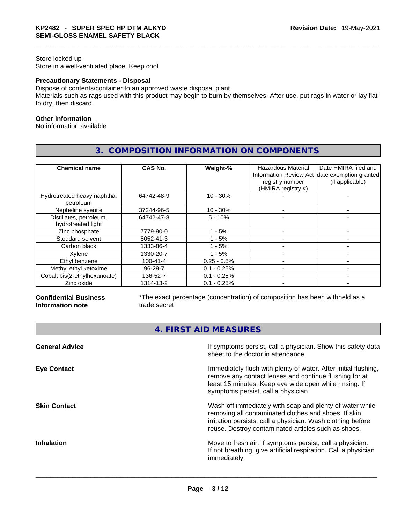### Store locked up Store in a well-ventilated place. Keep cool

# **Precautionary Statements - Disposal**

Dispose of contents/container to an approved waste disposal plant

Materials such as rags used with this product may begin to burn by themselves. After use, put rags in water or lay flat to dry, then discard.

**3. COMPOSITION INFORMATION ON COMPONENTS** 

# **Other information**

No information available

| <b>Chemical name</b>                          | <b>CAS No.</b> | Weight-%      | <b>Hazardous Material</b><br>registry number<br>(HMIRA registry #) | Date HMIRA filed and<br>Information Review Act date exemption granted<br>(if applicable) |
|-----------------------------------------------|----------------|---------------|--------------------------------------------------------------------|------------------------------------------------------------------------------------------|
| Hydrotreated heavy naphtha,<br>petroleum      | 64742-48-9     | $10 - 30%$    |                                                                    |                                                                                          |
| Nepheline syenite                             | 37244-96-5     | $10 - 30%$    |                                                                    |                                                                                          |
| Distillates, petroleum,<br>hydrotreated light | 64742-47-8     | $5 - 10%$     |                                                                    |                                                                                          |
| Zinc phosphate                                | 7779-90-0      | $-5%$         |                                                                    |                                                                                          |
| Stoddard solvent                              | 8052-41-3      | - 5%          |                                                                    |                                                                                          |
| Carbon black                                  | 1333-86-4      | - 5%          |                                                                    |                                                                                          |
| Xylene                                        | 1330-20-7      | $1 - 5%$      |                                                                    |                                                                                          |
| Ethyl benzene                                 | $100 - 41 - 4$ | $0.25 - 0.5%$ |                                                                    |                                                                                          |
| Methyl ethyl ketoxime                         | $96 - 29 - 7$  | $0.1 - 0.25%$ |                                                                    |                                                                                          |
| Cobalt bis(2-ethylhexanoate)                  | 136-52-7       | $0.1 - 0.25%$ |                                                                    |                                                                                          |
| Zinc oxide                                    | 1314-13-2      | $0.1 - 0.25%$ |                                                                    |                                                                                          |

# **Confidential Business Information note**

\*The exact percentage (concentration) of composition has been withheld as a trade secret

**4. FIRST AID MEASURES** 

| If symptoms persist, call a physician. Show this safety data<br>sheet to the doctor in attendance.                                                                                                                                     |
|----------------------------------------------------------------------------------------------------------------------------------------------------------------------------------------------------------------------------------------|
| Immediately flush with plenty of water. After initial flushing,<br>remove any contact lenses and continue flushing for at<br>least 15 minutes. Keep eye wide open while rinsing. If<br>symptoms persist, call a physician.             |
| Wash off immediately with soap and plenty of water while<br>removing all contaminated clothes and shoes. If skin<br>irritation persists, call a physician. Wash clothing before<br>reuse. Destroy contaminated articles such as shoes. |
| Move to fresh air. If symptoms persist, call a physician.<br>If not breathing, give artificial respiration. Call a physician<br>immediately.                                                                                           |
|                                                                                                                                                                                                                                        |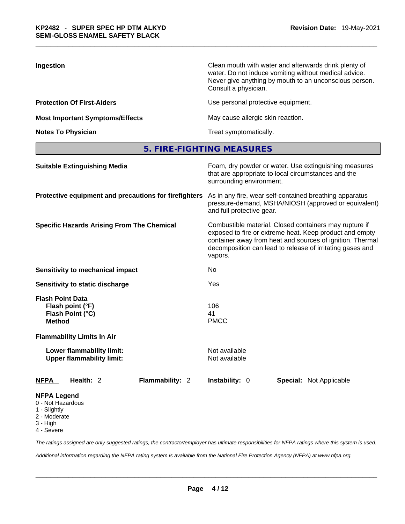| Ingestion                              | Clean mouth with water and afterwards drink plenty of<br>water. Do not induce vomiting without medical advice.<br>Never give anything by mouth to an unconscious person.<br>Consult a physician. |
|----------------------------------------|--------------------------------------------------------------------------------------------------------------------------------------------------------------------------------------------------|
| <b>Protection Of First-Aiders</b>      | Use personal protective equipment.                                                                                                                                                               |
| <b>Most Important Symptoms/Effects</b> | May cause allergic skin reaction.                                                                                                                                                                |
| <b>Notes To Physician</b>              | Treat symptomatically.                                                                                                                                                                           |

**5. FIRE-FIGHTING MEASURES** 

| <b>Suitable Extinguishing Media</b>                                                 | Foam, dry powder or water. Use extinguishing measures<br>that are appropriate to local circumstances and the<br>surrounding environment.                                                                                                               |  |  |  |
|-------------------------------------------------------------------------------------|--------------------------------------------------------------------------------------------------------------------------------------------------------------------------------------------------------------------------------------------------------|--|--|--|
| Protective equipment and precautions for firefighters                               | As in any fire, wear self-contained breathing apparatus<br>pressure-demand, MSHA/NIOSH (approved or equivalent)<br>and full protective gear.                                                                                                           |  |  |  |
| <b>Specific Hazards Arising From The Chemical</b>                                   | Combustible material. Closed containers may rupture if<br>exposed to fire or extreme heat. Keep product and empty<br>container away from heat and sources of ignition. Thermal<br>decomposition can lead to release of irritating gases and<br>vapors. |  |  |  |
| <b>Sensitivity to mechanical impact</b>                                             | No.                                                                                                                                                                                                                                                    |  |  |  |
| Sensitivity to static discharge                                                     | Yes                                                                                                                                                                                                                                                    |  |  |  |
| <b>Flash Point Data</b><br>Flash point (°F)<br>Flash Point (°C)<br><b>Method</b>    | 106<br>41<br><b>PMCC</b>                                                                                                                                                                                                                               |  |  |  |
| <b>Flammability Limits In Air</b>                                                   |                                                                                                                                                                                                                                                        |  |  |  |
| Lower flammability limit:<br><b>Upper flammability limit:</b>                       | Not available<br>Not available                                                                                                                                                                                                                         |  |  |  |
| <b>NFPA</b><br>Health: 2<br><b>Flammability: 2</b>                                  | <b>Instability: 0</b><br><b>Special: Not Applicable</b>                                                                                                                                                                                                |  |  |  |
| <b>NFPA Legend</b><br>0 - Not Hazardous<br>1 - Slightly<br>2 - Moderate<br>3 - High |                                                                                                                                                                                                                                                        |  |  |  |

- 
- 4 Severe

*The ratings assigned are only suggested ratings, the contractor/employer has ultimate responsibilities for NFPA ratings where this system is used.* 

*Additional information regarding the NFPA rating system is available from the National Fire Protection Agency (NFPA) at www.nfpa.org.*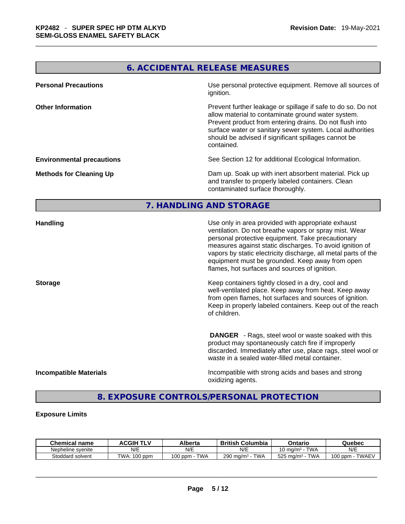# **6. ACCIDENTAL RELEASE MEASURES**

| <b>Personal Precautions</b>      | Use personal protective equipment. Remove all sources of<br>ignition.                                                                                                                                                                                                                                            |
|----------------------------------|------------------------------------------------------------------------------------------------------------------------------------------------------------------------------------------------------------------------------------------------------------------------------------------------------------------|
| <b>Other Information</b>         | Prevent further leakage or spillage if safe to do so. Do not<br>allow material to contaminate ground water system.<br>Prevent product from entering drains. Do not flush into<br>surface water or sanitary sewer system. Local authorities<br>should be advised if significant spillages cannot be<br>contained. |
| <b>Environmental precautions</b> | See Section 12 for additional Ecological Information.                                                                                                                                                                                                                                                            |
| <b>Methods for Cleaning Up</b>   | Dam up. Soak up with inert absorbent material. Pick up<br>and transfer to properly labeled containers. Clean<br>contaminated surface thoroughly.                                                                                                                                                                 |

# **7. HANDLING AND STORAGE**

| <b>Handling</b>               | Use only in area provided with appropriate exhaust<br>ventilation. Do not breathe vapors or spray mist. Wear<br>personal protective equipment. Take precautionary<br>measures against static discharges. To avoid ignition of<br>vapors by static electricity discharge, all metal parts of the<br>equipment must be grounded. Keep away from open<br>flames, hot surfaces and sources of ignition. |
|-------------------------------|-----------------------------------------------------------------------------------------------------------------------------------------------------------------------------------------------------------------------------------------------------------------------------------------------------------------------------------------------------------------------------------------------------|
| <b>Storage</b>                | Keep containers tightly closed in a dry, cool and<br>well-ventilated place. Keep away from heat. Keep away<br>from open flames, hot surfaces and sources of ignition.<br>Keep in properly labeled containers. Keep out of the reach<br>of children.                                                                                                                                                 |
|                               | <b>DANGER</b> - Rags, steel wool or waste soaked with this<br>product may spontaneously catch fire if improperly<br>discarded. Immediately after use, place rags, steel wool or<br>waste in a sealed water-filled metal container.                                                                                                                                                                  |
| <b>Incompatible Materials</b> | Incompatible with strong acids and bases and strong<br>oxidizing agents.                                                                                                                                                                                                                                                                                                                            |

# **8. EXPOSURE CONTROLS/PERSONAL PROTECTION**

#### **Exposure Limits**

| Chemical<br><b>name</b> | <b>ACGIH</b>      | Alberta                 | <b>British (</b><br>Columbia | Ontario                          | Quebec             |
|-------------------------|-------------------|-------------------------|------------------------------|----------------------------------|--------------------|
| Nepheline svenite       | N/E               | N/E                     | N/E                          | <b>TWA</b><br>10 ma/m $^{\rm 3}$ | N/E                |
| Stoddard solvent        | TWA.<br>$100$ ppm | <b>TWA</b><br>$100$ ppm | <b>TWA</b><br>290 mg/m $3$   | <b>TWA</b><br>525 mg/m $3$       | TWAEV<br>$100$ ppm |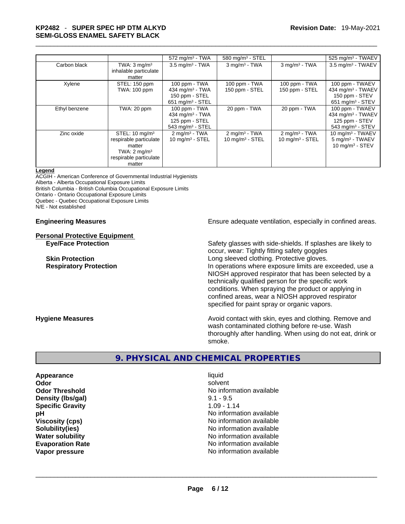|               |                                                                                                                              | $572 \text{ mg/m}^3$ - TWA                                                              | 580 mg/m $3 -$ STEL                                      |                                                        | 525 mg/m <sup>3</sup> - TWAEV                                                             |
|---------------|------------------------------------------------------------------------------------------------------------------------------|-----------------------------------------------------------------------------------------|----------------------------------------------------------|--------------------------------------------------------|-------------------------------------------------------------------------------------------|
| Carbon black  | TWA: $3 \text{ mg/m}^3$<br>inhalable particulate<br>matter                                                                   | $3.5 \text{ mg/m}^3$ - TWA                                                              | $3$ mg/m $3$ - TWA                                       | $3$ mg/m <sup>3</sup> - TWA                            | $3.5$ mg/m <sup>3</sup> - TWAEV                                                           |
| Xylene        | STEL: 150 ppm<br>TWA: 100 ppm                                                                                                | 100 ppm - TWA<br>434 mg/m $3$ - TWA<br>150 ppm - STEL<br>651 mg/m $3 -$ STEL            | 100 ppm - TWA<br>150 ppm - STEL                          | 100 ppm - TWA<br>150 ppm - STEL                        | 100 ppm - TWAEV<br>434 mg/m <sup>3</sup> - TWAEV<br>150 ppm - STEV<br>651 mg/m $3 -$ STEV |
| Ethyl benzene | TWA: 20 ppm                                                                                                                  | 100 ppm - TWA<br>434 mg/m $3$ - TWA<br>125 ppm - STEL<br>$543$ mg/m <sup>3</sup> - STEL | 20 ppm - TWA                                             | 20 ppm - TWA                                           | 100 ppm - TWAEV<br>434 mg/m <sup>3</sup> - TWAEV<br>125 ppm - STEV<br>543 mg/m $3 -$ STEV |
| Zinc oxide    | STEL: $10 \text{ mg/m}^3$<br>respirable particulate<br>matter<br>TWA: $2 \text{ mg/m}^3$<br>respirable particulate<br>matter | $2 \text{ mg/m}^3$ - TWA<br>$10 \text{ mg/m}^3$ - STEL                                  | $2 \text{mq/m}^3$ - TWA<br>$10$ mg/m <sup>3</sup> - STEL | $2 \text{ mg/m}^3$ - TWA<br>$10 \text{ mg/m}^3$ - STEL | 10 mg/m $3$ - TWAEV<br>5 mg/m <sup>3</sup> - TWAEV<br>10 mg/m $3 -$ STEV                  |

#### **Legend**

ACGIH - American Conference of Governmental Industrial Hygienists

Alberta - Alberta Occupational Exposure Limits

British Columbia - British Columbia Occupational Exposure Limits

Ontario - Ontario Occupational Exposure Limits Quebec - Quebec Occupational Exposure Limits

N/E - Not established

**Personal Protective Equipment**

**Engineering Measures Ensure** Ensure adequate ventilation, especially in confined areas.

**Eye/Face Protection** Safety glasses with side-shields. If splashes are likely to occur, wear: Tightly fitting safety goggles **Skin Protection Skin Protection Congression Long sleeved clothing. Protective gloves. Respiratory Protection In operations where exposure limits are exceeded, use a** local protection NIOSH approved respirator that has been selected by a technically qualified person for the specific work conditions. When spraying the product or applying in confined areas, wear a NIOSH approved respirator specified for paint spray or organic vapors.

**Hygiene Measures Avoid contact with skin, eyes and clothing. Remove and Hygiene Measures** and clothing. Remove and wash contaminated clothing before re-use. Wash thoroughly after handling. When using do not eat, drink or smoke.

# **9. PHYSICAL AND CHEMICAL PROPERTIES**

**Appearance** liquid **Density** (Ibs/gal) 9.1 - 9.5 **Specific Gravity** 1.09 - 1.14

**Odor** solvent **Odor Threshold No information available** No information available **pH** No information available **Viscosity (cps) No information available No** information available **Solubility(ies)** No information available **Water solubility Water solubility No information available Evaporation Rate No information available**<br> **No information available**<br> **No information available Vapor pressure** No information available \_\_\_\_\_\_\_\_\_\_\_\_\_\_\_\_\_\_\_\_\_\_\_\_\_\_\_\_\_\_\_\_\_\_\_\_\_\_\_\_\_\_\_\_\_\_\_\_\_\_\_\_\_\_\_\_\_\_\_\_\_\_\_\_\_\_\_\_\_\_\_\_\_\_\_\_\_\_\_\_\_\_\_\_\_\_\_\_\_\_\_\_\_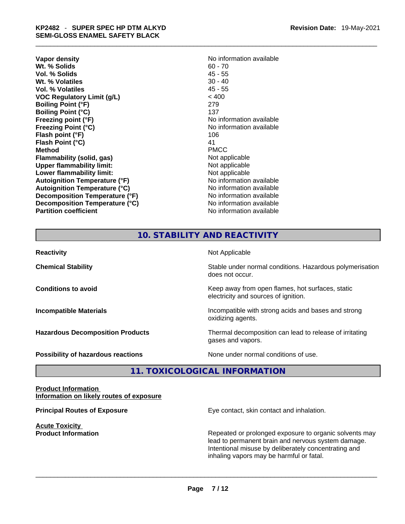**Vapor density Vapor density No information available Wt. % Solids** 60 - 70 **Vol. % Solids Wt. % Volatiles** 30 - 40 **Vol. % Volatiles** 45 - 55 **VOC Regulatory Limit (g/L)** < 400 **Boiling Point (°F)** 279 **Boiling Point (°C)** 137<br> **Preezing point (°F)** No i **Freezing Point (°C)** No information available **Flash point (°F)** 106<br> **Flash Point (°C)** 11 **Flash Point (°C)** 41 **Method** PMCC **Flammability (solid, gas)** Not applicable **Upper flammability limit:** Not applicable **Lower flammability limit:** Not applicable **Autoignition Temperature (°F)** No information available **Autoignition Temperature (°C)** No information available **Decomposition Temperature (°F)** No information available **Decomposition Temperature (°C)**<br> **Partition coefficient**<br> **Partition coefficient**<br> **No** information available

**Freezing point (°F)** No information available **No information available** 

# **10. STABILITY AND REACTIVITY**

| <b>Reactivity</b>                       | Not Applicable                                                                           |
|-----------------------------------------|------------------------------------------------------------------------------------------|
| <b>Chemical Stability</b>               | Stable under normal conditions. Hazardous polymerisation<br>does not occur.              |
| <b>Conditions to avoid</b>              | Keep away from open flames, hot surfaces, static<br>electricity and sources of ignition. |
| <b>Incompatible Materials</b>           | Incompatible with strong acids and bases and strong<br>oxidizing agents.                 |
| <b>Hazardous Decomposition Products</b> | Thermal decomposition can lead to release of irritating<br>gases and vapors.             |
| Possibility of hazardous reactions      | None under normal conditions of use.                                                     |

# **11. TOXICOLOGICAL INFORMATION**

#### **Product Information Information on likely routes of exposure**

**Acute Toxicity** 

**Principal Routes of Exposure Exposure** Eye contact, skin contact and inhalation.

**Product Information Repeated or prolonged exposure to organic solvents may** Repeated or prolonged exposure to organic solvents may lead to permanent brain and nervous system damage. Intentional misuse by deliberately concentrating and inhaling vapors may be harmful or fatal.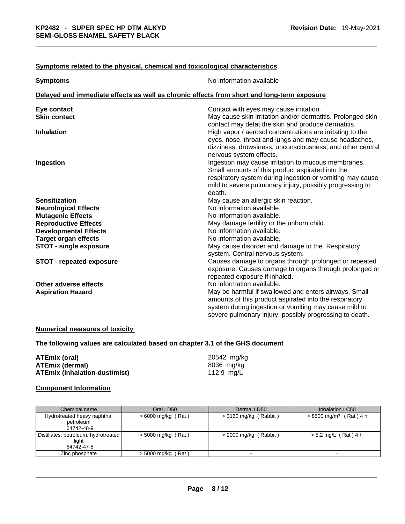### **Symptoms related to the physical,chemical and toxicological characteristics**

| <b>Symptoms</b>                                                                            | No information available                                                                                        |  |  |  |
|--------------------------------------------------------------------------------------------|-----------------------------------------------------------------------------------------------------------------|--|--|--|
| Delayed and immediate effects as well as chronic effects from short and long-term exposure |                                                                                                                 |  |  |  |
| Eye contact                                                                                | Contact with eyes may cause irritation.                                                                         |  |  |  |
| <b>Skin contact</b>                                                                        | May cause skin irritation and/or dermatitis. Prolonged skin                                                     |  |  |  |
|                                                                                            | contact may defat the skin and produce dermatitis.                                                              |  |  |  |
| <b>Inhalation</b>                                                                          | High vapor / aerosol concentrations are irritating to the                                                       |  |  |  |
|                                                                                            | eyes, nose, throat and lungs and may cause headaches,                                                           |  |  |  |
|                                                                                            | dizziness, drowsiness, unconsciousness, and other central<br>nervous system effects.                            |  |  |  |
| Ingestion                                                                                  | Ingestion may cause irritation to mucous membranes.                                                             |  |  |  |
|                                                                                            | Small amounts of this product aspirated into the                                                                |  |  |  |
|                                                                                            | respiratory system during ingestion or vomiting may cause                                                       |  |  |  |
|                                                                                            | mild to severe pulmonary injury, possibly progressing to                                                        |  |  |  |
|                                                                                            | death.                                                                                                          |  |  |  |
| <b>Sensitization</b>                                                                       | May cause an allergic skin reaction.                                                                            |  |  |  |
| <b>Neurological Effects</b>                                                                | No information available.                                                                                       |  |  |  |
| <b>Mutagenic Effects</b>                                                                   | No information available.                                                                                       |  |  |  |
| <b>Reproductive Effects</b>                                                                | May damage fertility or the unborn child.                                                                       |  |  |  |
| <b>Developmental Effects</b>                                                               | No information available.                                                                                       |  |  |  |
| <b>Target organ effects</b>                                                                | No information available.                                                                                       |  |  |  |
| <b>STOT - single exposure</b>                                                              | May cause disorder and damage to the. Respiratory                                                               |  |  |  |
|                                                                                            | system. Central nervous system.                                                                                 |  |  |  |
| <b>STOT - repeated exposure</b>                                                            | Causes damage to organs through prolonged or repeated<br>exposure. Causes damage to organs through prolonged or |  |  |  |
|                                                                                            | repeated exposure if inhaled.                                                                                   |  |  |  |
| Other adverse effects                                                                      | No information available.                                                                                       |  |  |  |
| <b>Aspiration Hazard</b>                                                                   | May be harmful if swallowed and enters airways. Small                                                           |  |  |  |
|                                                                                            | amounts of this product aspirated into the respiratory                                                          |  |  |  |
|                                                                                            | system during ingestion or vomiting may cause mild to                                                           |  |  |  |
|                                                                                            | severe pulmonary injury, possibly progressing to death.                                                         |  |  |  |

# **Numerical measures of toxicity**

# **The following values are calculated based on chapter 3.1 of the GHS document**

| ATEmix (oral)                        | 20542 mg/kg |
|--------------------------------------|-------------|
| <b>ATEmix (dermal)</b>               | 8036 mg/ka  |
| <b>ATEmix (inhalation-dust/mist)</b> | 112.9 mg/L  |

# **Component Information**

| Chemical name                                               | Oral LD50            | Dermal LD50             | Inhalation LC50                      |
|-------------------------------------------------------------|----------------------|-------------------------|--------------------------------------|
| Hydrotreated heavy naphtha,<br>petroleum<br>64742-48-9      | $>6000$ mg/kg (Rat)  | > 3160 mg/kg (Rabbit)   | $> 8500$ mg/m <sup>3</sup> (Rat) 4 h |
| Distillates, petroleum, hydrotreated<br>light<br>64742-47-8 | $>$ 5000 mg/kg (Rat) | $>$ 2000 mg/kg (Rabbit) | > 5.2 mg/L (Rat) 4 h                 |
| Zinc phosphate                                              | $>$ 5000 mg/kg (Rat) |                         |                                      |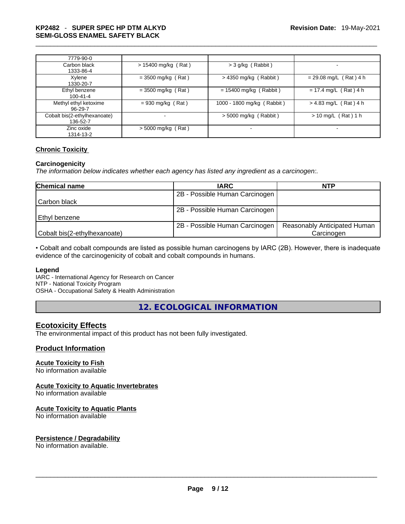| 7779-90-0                                |                       |                            |                          |
|------------------------------------------|-----------------------|----------------------------|--------------------------|
| Carbon black<br>1333-86-4                | $> 15400$ mg/kg (Rat) | $>$ 3 g/kg (Rabbit)        | $\blacksquare$           |
| Xylene<br>1330-20-7                      | $=$ 3500 mg/kg (Rat)  | $>$ 4350 mg/kg (Rabbit)    | $= 29.08$ mg/L (Rat) 4 h |
| Ethyl benzene<br>$100 - 41 - 4$          | $=$ 3500 mg/kg (Rat)  | $= 15400$ mg/kg (Rabbit)   | $= 17.4$ mg/L (Rat) 4 h  |
| Methyl ethyl ketoxime<br>96-29-7         | $= 930$ mg/kg (Rat)   | 1000 - 1800 mg/kg (Rabbit) | $> 4.83$ mg/L (Rat) 4 h  |
| Cobalt bis(2-ethylhexanoate)<br>136-52-7 | -                     | $>$ 5000 mg/kg (Rabbit)    | $> 10$ mg/L (Rat) 1 h    |
| Zinc oxide<br>1314-13-2                  | $>$ 5000 mg/kg (Rat)  |                            |                          |

# **Chronic Toxicity**

#### **Carcinogenicity**

*The information below indicates whether each agency has listed any ingredient as a carcinogen:.* 

| <b>Chemical name</b>         | <b>IARC</b>                    | <b>NTP</b>                   |
|------------------------------|--------------------------------|------------------------------|
|                              | 2B - Possible Human Carcinogen |                              |
| Carbon black                 |                                |                              |
|                              | 2B - Possible Human Carcinogen |                              |
| l Ethvl benzene              |                                |                              |
|                              | 2B - Possible Human Carcinogen | Reasonably Anticipated Human |
| Cobalt bis(2-ethylhexanoate) |                                | Carcinogen                   |

• Cobalt and cobalt compounds are listed as possible human carcinogens by IARC (2B). However, there is inadequate evidence of the carcinogenicity of cobalt and cobalt compounds in humans.

#### **Legend**

IARC - International Agency for Research on Cancer NTP - National Toxicity Program OSHA - Occupational Safety & Health Administration

**12. ECOLOGICAL INFORMATION** 

# **Ecotoxicity Effects**

The environmental impact of this product has not been fully investigated.

#### **Product Information**

#### **Acute Toxicity to Fish**

No information available

#### **Acute Toxicity to Aquatic Invertebrates**

No information available

#### **Acute Toxicity to Aquatic Plants**

No information available

#### **Persistence / Degradability**

No information available. \_\_\_\_\_\_\_\_\_\_\_\_\_\_\_\_\_\_\_\_\_\_\_\_\_\_\_\_\_\_\_\_\_\_\_\_\_\_\_\_\_\_\_\_\_\_\_\_\_\_\_\_\_\_\_\_\_\_\_\_\_\_\_\_\_\_\_\_\_\_\_\_\_\_\_\_\_\_\_\_\_\_\_\_\_\_\_\_\_\_\_\_\_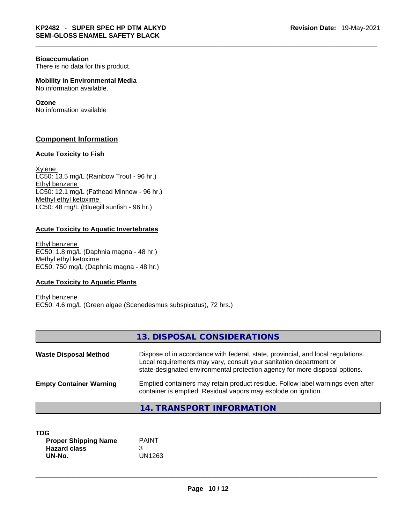#### **Bioaccumulation**

There is no data for this product.

**Mobility in Environmental Media** No information available.

#### **Ozone**

No information available

# **Component Information**

#### **Acute Toxicity to Fish**

Xylene LC50: 13.5 mg/L (Rainbow Trout - 96 hr.) Ethyl benzene LC50: 12.1 mg/L (Fathead Minnow - 96 hr.) Methyl ethyl ketoxime LC50: 48 mg/L (Bluegill sunfish - 96 hr.)

# **Acute Toxicity to Aquatic Invertebrates**

Ethyl benzene EC50: 1.8 mg/L (Daphnia magna - 48 hr.) Methyl ethyl ketoxime EC50: 750 mg/L (Daphnia magna - 48 hr.)

#### **Acute Toxicity to Aquatic Plants**

Ethyl benzene EC50: 4.6 mg/L (Green algae (Scenedesmus subspicatus), 72 hrs.)

|                                | 13. DISPOSAL CONSIDERATIONS                                                                                                                                                                                                           |
|--------------------------------|---------------------------------------------------------------------------------------------------------------------------------------------------------------------------------------------------------------------------------------|
| <b>Waste Disposal Method</b>   | Dispose of in accordance with federal, state, provincial, and local regulations.<br>Local requirements may vary, consult your sanitation department or<br>state-designated environmental protection agency for more disposal options. |
| <b>Empty Container Warning</b> | Emptied containers may retain product residue. Follow label warnings even after<br>container is emptied. Residual vapors may explode on ignition.                                                                                     |
|                                | 11 TDANCDODT INITODIJATIONI                                                                                                                                                                                                           |

# **14. TRANSPORT INFORMATION**

| <b>Proper Shipping Name</b><br><b>Hazard class</b> | <b>PAINT</b><br>າ<br>J |  |  |
|----------------------------------------------------|------------------------|--|--|
| UN-No.                                             | UN1263                 |  |  |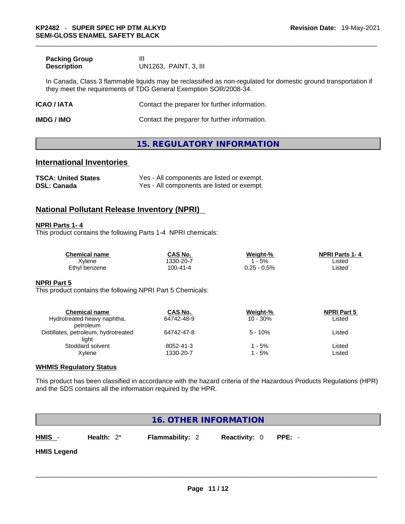| <b>Packing Group</b> |                       |
|----------------------|-----------------------|
| <b>Description</b>   | UN1263, PAINT, 3, III |

In Canada, Class 3 flammable liquids may be reclassified as non-regulated for domestic ground transportation if they meet the requirements of TDG General Exemption SOR/2008-34.

| ICAO / IATA | Contact the preparer for further information. |  |
|-------------|-----------------------------------------------|--|
|-------------|-----------------------------------------------|--|

**IMDG / IMO Contact the preparer for further information.** 

# **15. REGULATORY INFORMATION**

# **International Inventories**

| <b>TSCA: United States</b> | Yes - All components are listed or exempt. |
|----------------------------|--------------------------------------------|
| <b>DSL: Canada</b>         | Yes - All components are listed or exempt. |

# **National Pollutant Release Inventory (NPRI)**

#### **NPRI Parts 1- 4**

This product contains the following Parts 1-4 NPRI chemicals:

| <b>Chemical name</b> | CAS No.   | Weight-%    | <b>NPRI Parts 1-4</b> |
|----------------------|-----------|-------------|-----------------------|
| Xylene               | 1330-20-7 | 5%          | ∟isted                |
| Ethyl benzene        | 100-41-4  | 0.25 - 0.5% | Listed                |

#### **NPRI Part 5**

This product contains the following NPRI Part 5 Chemicals:

| CAS No.    | Weight-%    | <b>NPRI Part 5</b> |  |
|------------|-------------|--------------------|--|
| 64742-48-9 | $10 - 30\%$ | Listed             |  |
|            |             |                    |  |
| 64742-47-8 | $5 - 10%$   | Listed             |  |
|            |             |                    |  |
| 8052-41-3  | ' - 5%      | Listed             |  |
| 1330-20-7  | - 5%        | Listed             |  |
|            |             |                    |  |

#### **WHMIS Regulatory Status**

This product has been classified in accordance with the hazard criteria of the Hazardous Products Regulations (HPR) and the SDS contains all the information required by the HPR.